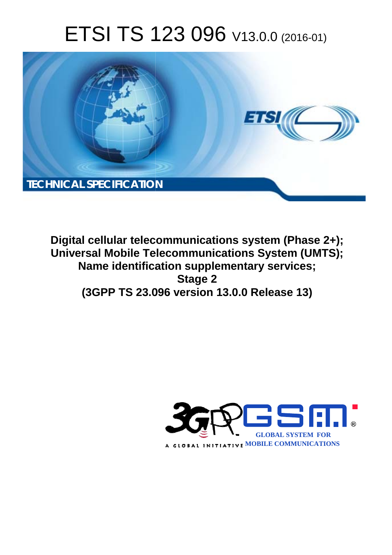# ETSI TS 123 096 V13.0.0 (2016-01)



**Digital cellular telecommunications system (Phase 2+); Universal Mobile Tel elecommunications System ( (UMTS); Name identification supplementary services; (3GPP TS 23.0 .096 version 13.0.0 Release 13 13) Stage 2** 

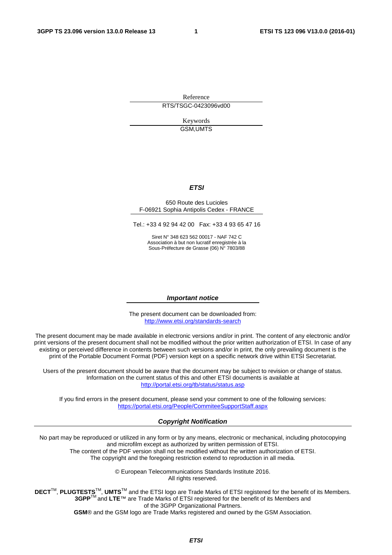Reference RTS/TSGC-0423096vd00

> Keywords GSM,UMTS

#### *ETSI*

#### 650 Route des Lucioles F-06921 Sophia Antipolis Cedex - FRANCE

Tel.: +33 4 92 94 42 00 Fax: +33 4 93 65 47 16

Siret N° 348 623 562 00017 - NAF 742 C Association à but non lucratif enregistrée à la Sous-Préfecture de Grasse (06) N° 7803/88

#### *Important notice*

The present document can be downloaded from: <http://www.etsi.org/standards-search>

The present document may be made available in electronic versions and/or in print. The content of any electronic and/or print versions of the present document shall not be modified without the prior written authorization of ETSI. In case of any existing or perceived difference in contents between such versions and/or in print, the only prevailing document is the print of the Portable Document Format (PDF) version kept on a specific network drive within ETSI Secretariat.

Users of the present document should be aware that the document may be subject to revision or change of status. Information on the current status of this and other ETSI documents is available at <http://portal.etsi.org/tb/status/status.asp>

If you find errors in the present document, please send your comment to one of the following services: <https://portal.etsi.org/People/CommiteeSupportStaff.aspx>

#### *Copyright Notification*

No part may be reproduced or utilized in any form or by any means, electronic or mechanical, including photocopying and microfilm except as authorized by written permission of ETSI.

The content of the PDF version shall not be modified without the written authorization of ETSI. The copyright and the foregoing restriction extend to reproduction in all media.

> © European Telecommunications Standards Institute 2016. All rights reserved.

**DECT**TM, **PLUGTESTS**TM, **UMTS**TM and the ETSI logo are Trade Marks of ETSI registered for the benefit of its Members. **3GPP**TM and **LTE**™ are Trade Marks of ETSI registered for the benefit of its Members and of the 3GPP Organizational Partners.

**GSM**® and the GSM logo are Trade Marks registered and owned by the GSM Association.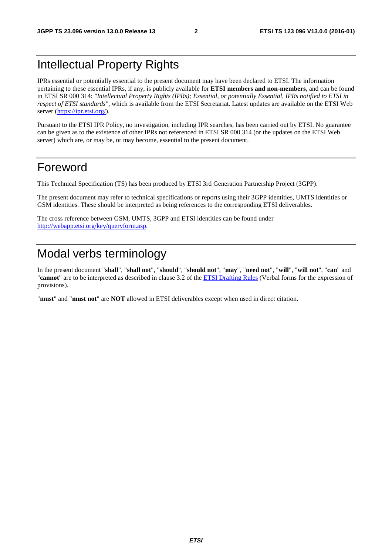## Intellectual Property Rights

IPRs essential or potentially essential to the present document may have been declared to ETSI. The information pertaining to these essential IPRs, if any, is publicly available for **ETSI members and non-members**, and can be found in ETSI SR 000 314: *"Intellectual Property Rights (IPRs); Essential, or potentially Essential, IPRs notified to ETSI in respect of ETSI standards"*, which is available from the ETSI Secretariat. Latest updates are available on the ETSI Web server [\(https://ipr.etsi.org/](https://ipr.etsi.org/)).

Pursuant to the ETSI IPR Policy, no investigation, including IPR searches, has been carried out by ETSI. No guarantee can be given as to the existence of other IPRs not referenced in ETSI SR 000 314 (or the updates on the ETSI Web server) which are, or may be, or may become, essential to the present document.

## Foreword

This Technical Specification (TS) has been produced by ETSI 3rd Generation Partnership Project (3GPP).

The present document may refer to technical specifications or reports using their 3GPP identities, UMTS identities or GSM identities. These should be interpreted as being references to the corresponding ETSI deliverables.

The cross reference between GSM, UMTS, 3GPP and ETSI identities can be found under [http://webapp.etsi.org/key/queryform.asp.](http://webapp.etsi.org/key/queryform.asp)

## Modal verbs terminology

In the present document "**shall**", "**shall not**", "**should**", "**should not**", "**may**", "**need not**", "**will**", "**will not**", "**can**" and "**cannot**" are to be interpreted as described in clause 3.2 of the [ETSI Drafting Rules](http://portal.etsi.org/Help/editHelp!/Howtostart/ETSIDraftingRules.aspx) (Verbal forms for the expression of provisions).

"**must**" and "**must not**" are **NOT** allowed in ETSI deliverables except when used in direct citation.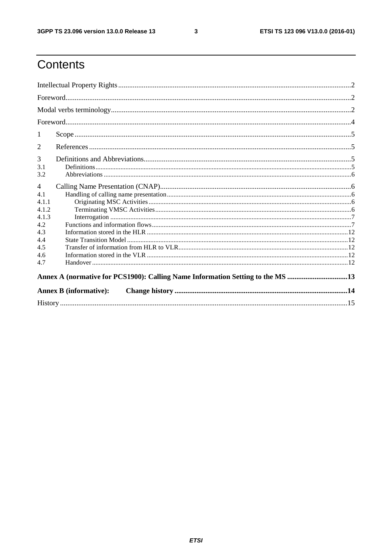$\mathbf{3}$ 

## Contents

| 1                                                                              |  |  |  |  |  |
|--------------------------------------------------------------------------------|--|--|--|--|--|
| 2                                                                              |  |  |  |  |  |
| 3                                                                              |  |  |  |  |  |
| 3.1                                                                            |  |  |  |  |  |
| 3.2                                                                            |  |  |  |  |  |
| $\overline{4}$                                                                 |  |  |  |  |  |
| 4.1                                                                            |  |  |  |  |  |
| 4.1.1                                                                          |  |  |  |  |  |
| 4.1.2                                                                          |  |  |  |  |  |
| 4.1.3                                                                          |  |  |  |  |  |
| 4.2                                                                            |  |  |  |  |  |
| 4.3                                                                            |  |  |  |  |  |
| 4.4<br>4.5                                                                     |  |  |  |  |  |
|                                                                                |  |  |  |  |  |
|                                                                                |  |  |  |  |  |
| 4.7                                                                            |  |  |  |  |  |
| Annex A (normative for PCS1900): Calling Name Information Setting to the MS 13 |  |  |  |  |  |
| <b>Annex B</b> (informative):                                                  |  |  |  |  |  |
|                                                                                |  |  |  |  |  |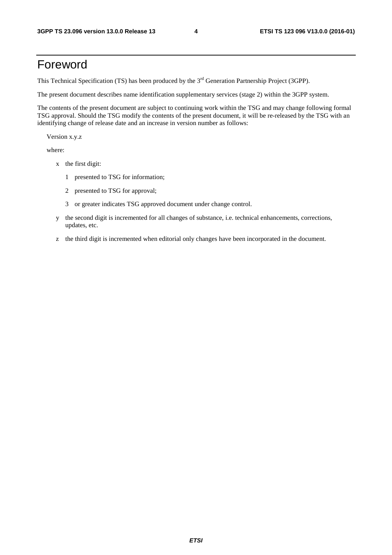## Foreword

This Technical Specification (TS) has been produced by the 3<sup>rd</sup> Generation Partnership Project (3GPP).

The present document describes name identification supplementary services (stage 2) within the 3GPP system.

The contents of the present document are subject to continuing work within the TSG and may change following formal TSG approval. Should the TSG modify the contents of the present document, it will be re-released by the TSG with an identifying change of release date and an increase in version number as follows:

Version x.y.z

where:

- x the first digit:
	- 1 presented to TSG for information;
	- 2 presented to TSG for approval;
	- 3 or greater indicates TSG approved document under change control.
- y the second digit is incremented for all changes of substance, i.e. technical enhancements, corrections, updates, etc.
- z the third digit is incremented when editorial only changes have been incorporated in the document.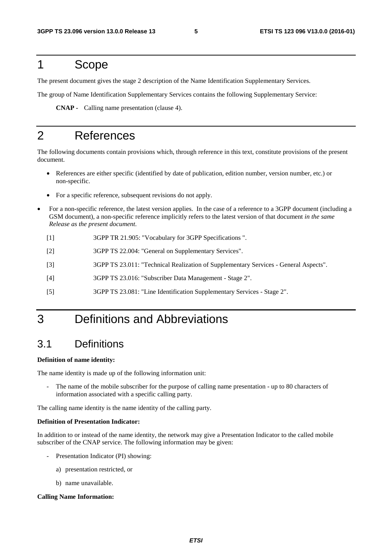### 1 Scope

The present document gives the stage 2 description of the Name Identification Supplementary Services.

The group of Name Identification Supplementary Services contains the following Supplementary Service:

 **CNAP -** Calling name presentation (clause 4).

## 2 References

The following documents contain provisions which, through reference in this text, constitute provisions of the present document.

- References are either specific (identified by date of publication, edition number, version number, etc.) or non-specific.
- For a specific reference, subsequent revisions do not apply.
- For a non-specific reference, the latest version applies. In the case of a reference to a 3GPP document (including a GSM document), a non-specific reference implicitly refers to the latest version of that document *in the same Release as the present document*.
	- [1] 3GPP TR 21.905: "Vocabulary for 3GPP Specifications ".
	- [2] 3GPP TS 22.004: "General on Supplementary Services".
	- [3] 3GPP TS 23.011: "Technical Realization of Supplementary Services General Aspects".
	- [4] 3GPP TS 23.016: "Subscriber Data Management Stage 2".
	- [5] 3GPP TS 23.081: "Line Identification Supplementary Services Stage 2".

## 3 Definitions and Abbreviations

#### 3.1 Definitions

#### **Definition of name identity:**

The name identity is made up of the following information unit:

The name of the mobile subscriber for the purpose of calling name presentation - up to 80 characters of information associated with a specific calling party.

The calling name identity is the name identity of the calling party.

#### **Definition of Presentation Indicator:**

In addition to or instead of the name identity, the network may give a Presentation Indicator to the called mobile subscriber of the CNAP service. The following information may be given:

- Presentation Indicator (PI) showing:
	- a) presentation restricted, or
	- b) name unavailable.

#### **Calling Name Information:**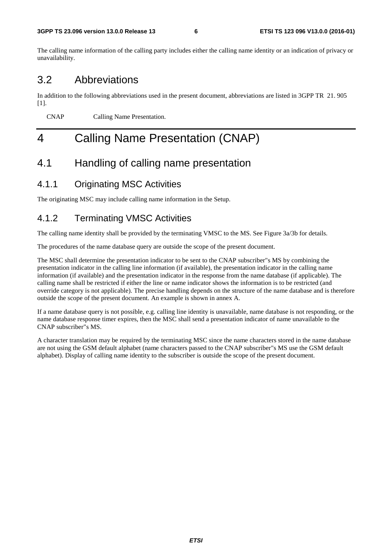The calling name information of the calling party includes either the calling name identity or an indication of privacy or unavailability.

#### 3.2 Abbreviations

In addition to the following abbreviations used in the present document, abbreviations are listed in 3GPP TR 21. 905 [1].

CNAP Calling Name Presentation.

## 4 Calling Name Presentation (CNAP)

#### 4.1 Handling of calling name presentation

#### 4.1.1 Originating MSC Activities

The originating MSC may include calling name information in the Setup.

#### 4.1.2 Terminating VMSC Activities

The calling name identity shall be provided by the terminating VMSC to the MS. See Figure 3a/3b for details.

The procedures of the name database query are outside the scope of the present document.

The MSC shall determine the presentation indicator to be sent to the CNAP subscriber"s MS by combining the presentation indicator in the calling line information (if available), the presentation indicator in the calling name information (if available) and the presentation indicator in the response from the name database (if applicable). The calling name shall be restricted if either the line or name indicator shows the information is to be restricted (and override category is not applicable). The precise handling depends on the structure of the name database and is therefore outside the scope of the present document. An example is shown in annex A.

If a name database query is not possible, e.g. calling line identity is unavailable, name database is not responding, or the name database response timer expires, then the MSC shall send a presentation indicator of name unavailable to the CNAP subscriber"s MS.

A character translation may be required by the terminating MSC since the name characters stored in the name database are not using the GSM default alphabet (name characters passed to the CNAP subscriber"s MS use the GSM default alphabet). Display of calling name identity to the subscriber is outside the scope of the present document.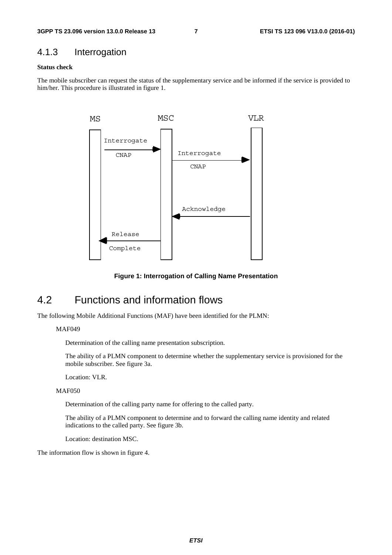#### 4.1.3 Interrogation

#### **Status check**

The mobile subscriber can request the status of the supplementary service and be informed if the service is provided to him/her. This procedure is illustrated in figure 1.



**Figure 1: Interrogation of Calling Name Presentation** 

### 4.2 Functions and information flows

The following Mobile Additional Functions (MAF) have been identified for the PLMN:

#### MAF049

Determination of the calling name presentation subscription.

 The ability of a PLMN component to determine whether the supplementary service is provisioned for the mobile subscriber. See figure 3a.

Location: VLR.

MAF<sub>050</sub>

Determination of the calling party name for offering to the called party.

 The ability of a PLMN component to determine and to forward the calling name identity and related indications to the called party. See figure 3b.

Location: destination MSC.

The information flow is shown in figure 4.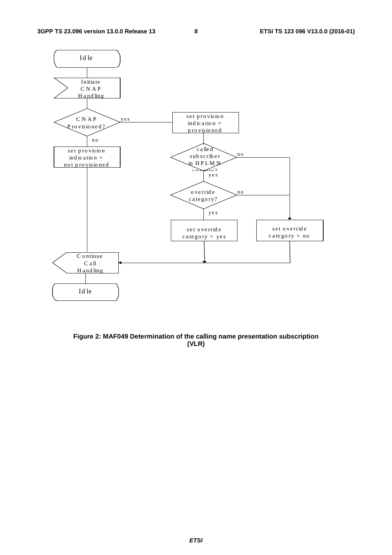

**Figure 2: MAF049 Determination of the calling name presentation subscription (VLR)**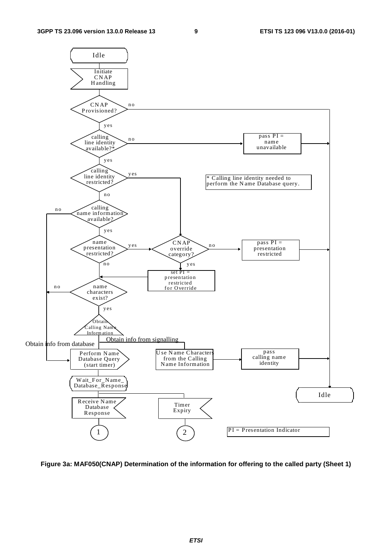

**Figure 3a: MAF050(CNAP) Determination of the information for offering to the called party (Sheet 1)**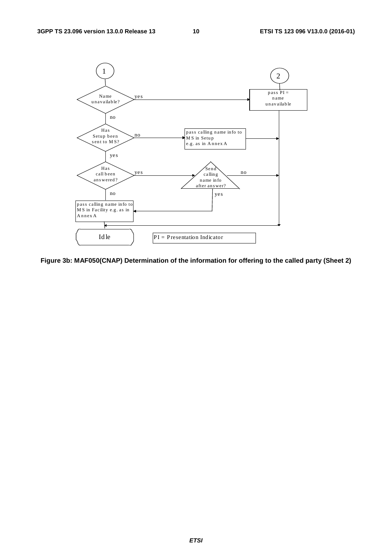

**Figure 3b: MAF050(CNAP) Determination of the information for offering to the called party (Sheet 2)**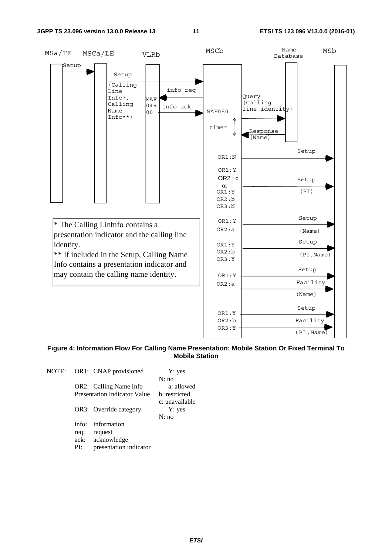

#### **Figure 4: Information Flow For Calling Name Presentation: Mobile Station Or Fixed Terminal To Mobile Station**

| NOTE: |       | OR1: CNAP provisioned               | Y: yes                   |
|-------|-------|-------------------------------------|--------------------------|
|       |       |                                     | N: no                    |
|       |       | OR2: Calling Name Info              | a: allowed               |
|       |       | <b>Presentation Indicator Value</b> | b: restricted            |
|       |       | OR3: Override category              | c: unavailable<br>Y: yes |
|       |       |                                     | N:no                     |
|       | info: | information                         |                          |
|       | req:  | request                             |                          |
|       | ack:  | acknowledge                         |                          |
|       | PI:   | presentation indicator              |                          |
|       |       |                                     |                          |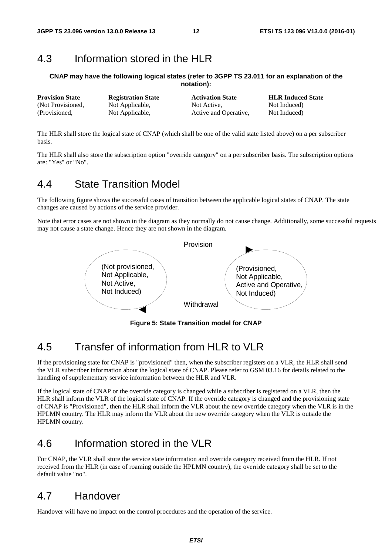### 4.3 Information stored in the HLR

#### **CNAP may have the following logical states (refer to 3GPP TS 23.011 for an explanation of the notation):**

| <b>Provision State</b> | <b>Registration State</b> | <b>Activation State</b> | <b>HLR Induced State</b> |
|------------------------|---------------------------|-------------------------|--------------------------|
| (Not Provisioned,      | Not Applicable,           | Not Active.             | Not Induced)             |
| (Provisioned,          | Not Applicable,           | Active and Operative,   | Not Induced)             |

The HLR shall store the logical state of CNAP (which shall be one of the valid state listed above) on a per subscriber basis.

The HLR shall also store the subscription option "override category" on a per subscriber basis. The subscription options are: "Yes" or "No".

#### 4.4 State Transition Model

The following figure shows the successful cases of transition between the applicable logical states of CNAP. The state changes are caused by actions of the service provider.

Note that error cases are not shown in the diagram as they normally do not cause change. Additionally, some successful requests may not cause a state change. Hence they are not shown in the diagram.



**Figure 5: State Transition model for CNAP** 

## 4.5 Transfer of information from HLR to VLR

If the provisioning state for CNAP is "provisioned" then, when the subscriber registers on a VLR, the HLR shall send the VLR subscriber information about the logical state of CNAP. Please refer to GSM 03.16 for details related to the handling of supplementary service information between the HLR and VLR.

If the logical state of CNAP or the override category is changed while a subscriber is registered on a VLR, then the HLR shall inform the VLR of the logical state of CNAP. If the override category is changed and the provisioning state of CNAP is "Provisioned", then the HLR shall inform the VLR about the new override category when the VLR is in the HPLMN country. The HLR may inform the VLR about the new override category when the VLR is outside the HPLMN country.

### 4.6 Information stored in the VLR

For CNAP, the VLR shall store the service state information and override category received from the HLR. If not received from the HLR (in case of roaming outside the HPLMN country), the override category shall be set to the default value "no".

### 4.7 Handover

Handover will have no impact on the control procedures and the operation of the service.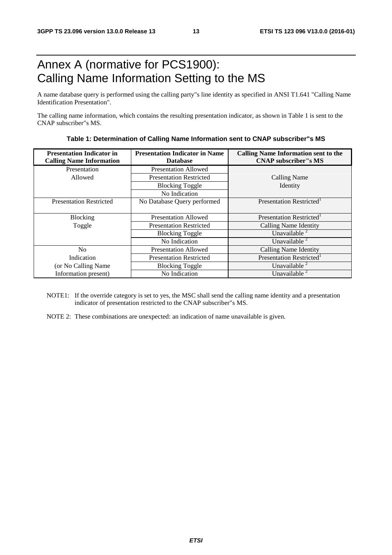## Annex A (normative for PCS1900): Calling Name Information Setting to the MS

A name database query is performed using the calling party"s line identity as specified in ANSI T1.641 "Calling Name Identification Presentation".

The calling name information, which contains the resulting presentation indicator, as shown in Table 1 is sent to the CNAP subscriber"s MS.

| <b>Presentation Indicator in</b><br><b>Calling Name Information</b> | <b>Presentation Indicator in Name</b><br><b>Database</b> | <b>Calling Name Information sent to the</b><br><b>CNAP</b> subscriber"s MS |
|---------------------------------------------------------------------|----------------------------------------------------------|----------------------------------------------------------------------------|
| Presentation                                                        | <b>Presentation Allowed</b>                              |                                                                            |
| Allowed                                                             | <b>Presentation Restricted</b>                           | <b>Calling Name</b>                                                        |
|                                                                     | <b>Blocking Toggle</b>                                   | Identity                                                                   |
|                                                                     | No Indication                                            |                                                                            |
| <b>Presentation Restricted</b>                                      | No Database Query performed                              | Presentation Restricted <sup>1</sup>                                       |
|                                                                     |                                                          |                                                                            |
| Blocking                                                            | <b>Presentation Allowed</b>                              | Presentation Restricted <sup>1</sup>                                       |
| Toggle                                                              | <b>Presentation Restricted</b>                           | Calling Name Identity                                                      |
|                                                                     | <b>Blocking Toggle</b>                                   | Unavailable $2$                                                            |
|                                                                     | No Indication                                            | Unavailable <sup>2</sup>                                                   |
| N <sub>0</sub>                                                      | <b>Presentation Allowed</b>                              | Calling Name Identity                                                      |
| Indication                                                          | <b>Presentation Restricted</b>                           | Presentation Restricted                                                    |
| (or No Calling Name)                                                | <b>Blocking Toggle</b>                                   | Unavailable <sup>2</sup>                                                   |
| Information present)                                                | No Indication                                            | Unavailable <sup>2</sup>                                                   |

**Table 1: Determination of Calling Name Information sent to CNAP subscriber"s MS** 

NOTE1: If the override category is set to yes, the MSC shall send the calling name identity and a presentation indicator of presentation restricted to the CNAP subscriber"s MS.

NOTE 2: These combinations are unexpected: an indication of name unavailable is given.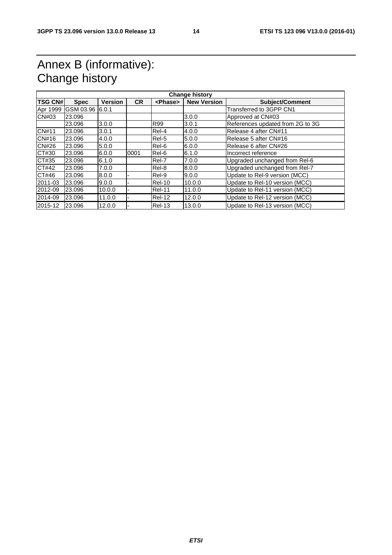## Annex B (informative): Change history

| <b>TSG CN#</b> | <b>Spec</b>      | <b>Version</b> | <b>CR</b> | <phase></phase> | <b>New Version</b> | <b>Subject/Comment</b>           |
|----------------|------------------|----------------|-----------|-----------------|--------------------|----------------------------------|
| Apr 1999       | IGSM 03.96 6.0.1 |                |           |                 |                    | Transferred to 3GPP CN1          |
| CN#03          | 23.096           |                |           |                 | 3.0.0              | Approved at CN#03                |
|                | 23.096           | 3.0.0          |           | <b>R99</b>      | 3.0.1              | References updated from 2G to 3G |
| <b>CN#11</b>   | 23.096           | 3.0.1          |           | Rel-4           | 4.0.0              | Release 4 after CN#11            |
| CN#16          | 23.096           | 4.0.0          |           | Rel-5           | 5.0.0              | Release 5 after CN#16            |
| <b>CN#26</b>   | 23.096           | 5.0.0          |           | Rel-6           | 6.0.0              | Release 6 after CN#26            |
| CT#30          | 23.096           | 6.0.0          | 0001      | Rel-6           | 6.1.0              | Incorrect reference              |
| CT#35          | 23.096           | 6.1.0          |           | Rel-7           | 7.0.0              | Upgraded unchanged from Rel-6    |
| CT#42          | 23.096           | 7.0.0          |           | Rel-8           | 8.0.0              | Upgraded unchanged from Rel-7    |
| CT#46          | 23.096           | 8.0.0          |           | Rel-9           | 9.0.0              | Update to Rel-9 version (MCC)    |
| 2011-03        | 23.096           | 9.0.0          |           | Rel-10          | 10.0.0             | Update to Rel-10 version (MCC)   |
| 2012-09        | 23.096           | 10.0.0         |           | <b>Rel-11</b>   | 11.0.0             | Update to Rel-11 version (MCC)   |
| 2014-09        | 23.096           | 11.0.0         |           | Rel-12          | 12.0.0             | Update to Rel-12 version (MCC)   |
| 2015-12        | 23,096           | 12.0.0         |           | Rel-13          | 13.0.0             | Update to Rel-13 version (MCC)   |
|                |                  |                |           |                 |                    |                                  |